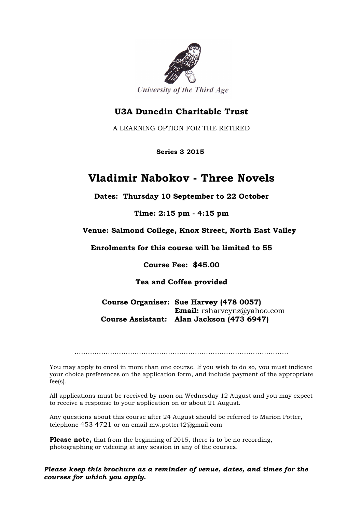

## **U3A Dunedin Charitable Trust**

A LEARNING OPTION FOR THE RETIRED

 **Series 3 2015**

## **Vladimir Nabokov - Three Novels**

**Dates: Thursday 10 September to 22 October**

**Time: 2:15 pm - 4:15 pm**

**Venue: Salmond College, Knox Street, North East Valley**

**Enrolments for this course will be limited to 55**

**Course Fee: \$45.00**

**Tea and Coffee provided**

**Course Organiser: Sue Harvey (478 0057) Email:** rsharveynz@yahoo.com  **Course Assistant: Alan Jackson (473 6947)**

You may apply to enrol in more than one course. If you wish to do so, you must indicate your choice preferences on the application form, and include payment of the appropriate fee(s).

All applications must be received by noon on Wednesday 12 August and you may expect to receive a response to your application on or about 21 August.

Any questions about this course after 24 August should be referred to Marion Potter, telephone 453 4721 or on email mw.potter42@gmail.com

**Please note,** that from the beginning of 2015, there is to be no recording, photographing or videoing at any session in any of the courses.

*Please keep this brochure as a reminder of venue, dates, and times for the courses for which you apply.*